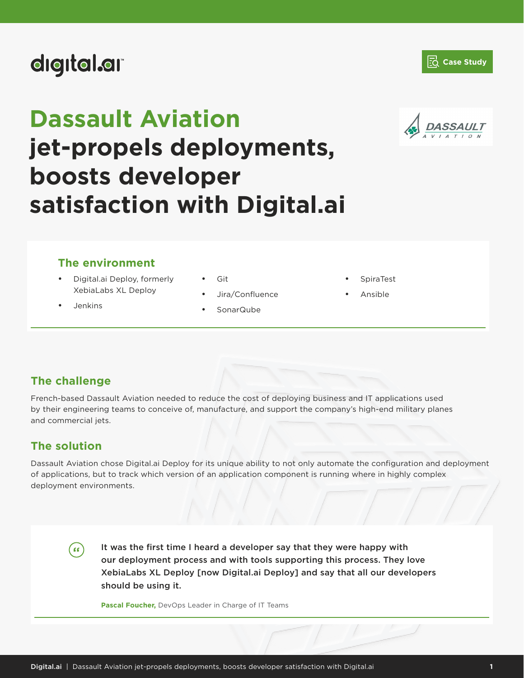# digital.ar

# **Dassault Aviation**



**Z**<sup>d</sup> Case Study

# **jet-propels deployments, boosts developer satisfaction with Digital.ai**

### **The environment**

- Digital.ai Deploy, formerly XebiaLabs XL Deploy
- Jenkins
- Git
- Jira/Confluence
- SonarQube
- **SpiraTest**
- Ansible

# **The challenge**

French-based Dassault Aviation needed to reduce the cost of deploying business and IT applications used by their engineering teams to conceive of, manufacture, and support the company's high-end military planes and commercial jets.

## **The solution**

Dassault Aviation chose Digital.ai Deploy for its unique ability to not only automate the configuration and deployment of applications, but to track which version of an application component is running where in highly complex deployment environments.

 $\epsilon$ 

It was the first time I heard a developer say that they were happy with our deployment process and with tools supporting this process. They love XebiaLabs XL Deploy [now Digital.ai Deploy] and say that all our developers should be using it.

**Pascal Foucher,** DevOps Leader in Charge of IT Teams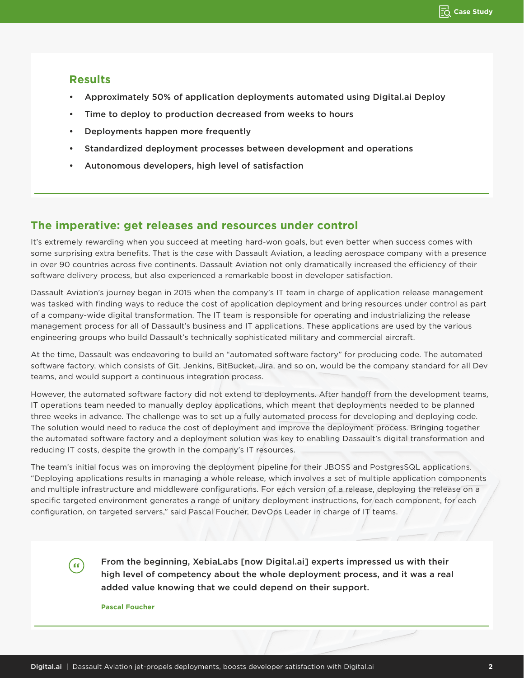#### **Results**

- Approximately 50% of application deployments automated using Digital.ai Deploy
- Time to deploy to production decreased from weeks to hours
- Deployments happen more frequently
- Standardized deployment processes between development and operations
- Autonomous developers, high level of satisfaction

#### **The imperative: get releases and resources under control**

It's extremely rewarding when you succeed at meeting hard-won goals, but even better when success comes with some surprising extra benefits. That is the case with Dassault Aviation, a leading aerospace company with a presence in over 90 countries across five continents. Dassault Aviation not only dramatically increased the efficiency of their software delivery process, but also experienced a remarkable boost in developer satisfaction.

Dassault Aviation's journey began in 2015 when the company's IT team in charge of application release management was tasked with finding ways to reduce the cost of application deployment and bring resources under control as part of a company-wide digital transformation. The IT team is responsible for operating and industrializing the release management process for all of Dassault's business and IT applications. These applications are used by the various engineering groups who build Dassault's technically sophisticated military and commercial aircraft.

At the time, Dassault was endeavoring to build an "automated software factory" for producing code. The automated software factory, which consists of Git, Jenkins, BitBucket, Jira, and so on, would be the company standard for all Dev teams, and would support a continuous integration process.

However, the automated software factory did not extend to deployments. After handoff from the development teams, IT operations team needed to manually deploy applications, which meant that deployments needed to be planned three weeks in advance. The challenge was to set up a fully automated process for developing and deploying code. The solution would need to reduce the cost of deployment and improve the deployment process. Bringing together the automated software factory and a deployment solution was key to enabling Dassault's digital transformation and reducing IT costs, despite the growth in the company's IT resources.

The team's initial focus was on improving the deployment pipeline for their JBOSS and PostgresSQL applications. "Deploying applications results in managing a whole release, which involves a set of multiple application components and multiple infrastructure and middleware configurations. For each version of a release, deploying the release on a specific targeted environment generates a range of unitary deployment instructions, for each component, for each configuration, on targeted servers," said Pascal Foucher, DevOps Leader in charge of IT teams.

> From the beginning, XebiaLabs [now Digital.ai] experts impressed us with their high level of competency about the whole deployment process, and it was a real added value knowing that we could depend on their support.

**Pascal Foucher**

 $\mathbf{G}$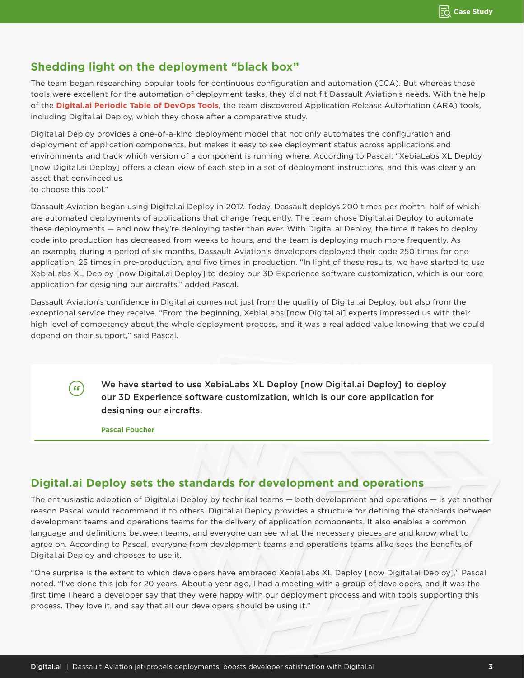## **Shedding light on the deployment "black box"**

The team began researching popular tools for continuous configuration and automation (CCA). But whereas these tools were excellent for the automation of deployment tasks, they did not fit Dassault Aviation's needs. With the help of the **[Digital.ai Periodic Table of DevOps Tools](https://digital.ai/periodic-table-of-devops-tools)**, the team discovered Application Release Automation (ARA) tools, including Digital.ai Deploy, which they chose after a comparative study.

Digital.ai Deploy provides a one-of-a-kind deployment model that not only automates the configuration and deployment of application components, but makes it easy to see deployment status across applications and environments and track which version of a component is running where. According to Pascal: "XebiaLabs XL Deploy [now Digital.ai Deploy] offers a clean view of each step in a set of deployment instructions, and this was clearly an asset that convinced us to choose this tool."

Dassault Aviation began using Digital.ai Deploy in 2017. Today, Dassault deploys 200 times per month, half of which are automated deployments of applications that change frequently. The team chose Digital.ai Deploy to automate these deployments — and now they're deploying faster than ever. With Digital.ai Deploy, the time it takes to deploy code into production has decreased from weeks to hours, and the team is deploying much more frequently. As an example, during a period of six months, Dassault Aviation's developers deployed their code 250 times for one application, 25 times in pre-production, and five times in production. "In light of these results, we have started to use XebiaLabs XL Deploy [now Digital.ai Deploy] to deploy our 3D Experience software customization, which is our core application for designing our aircrafts," added Pascal.

Dassault Aviation's confidence in Digital.ai comes not just from the quality of Digital.ai Deploy, but also from the exceptional service they receive. "From the beginning, XebiaLabs [now Digital.ai] experts impressed us with their high level of competency about the whole deployment process, and it was a real added value knowing that we could depend on their support," said Pascal.

> We have started to use XebiaLabs XL Deploy [now Digital.ai Deploy] to deploy our 3D Experience software customization, which is our core application for designing our aircrafts.

**Pascal Foucher**

ີເເ

#### **Digital.ai Deploy sets the standards for development and operations**

The enthusiastic adoption of Digital.ai Deploy by technical teams — both development and operations — is yet another reason Pascal would recommend it to others. Digital.ai Deploy provides a structure for defining the standards between development teams and operations teams for the delivery of application components. It also enables a common language and definitions between teams, and everyone can see what the necessary pieces are and know what to agree on. According to Pascal, everyone from development teams and operations teams alike sees the benefits of Digital.ai Deploy and chooses to use it.

"One surprise is the extent to which developers have embraced XebiaLabs XL Deploy [now Digital.ai Deploy]," Pascal noted. "I've done this job for 20 years. About a year ago, I had a meeting with a group of developers, and it was the first time I heard a developer say that they were happy with our deployment process and with tools supporting this process. They love it, and say that all our developers should be using it."